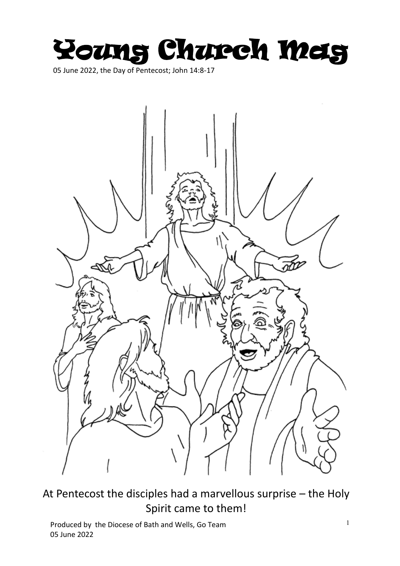

05 June 2022, the Day of Pentecost; John 14:8-17



At Pentecost the disciples had a marvellous surprise – the Holy Spirit came to them!

<sup>1</sup> Produced by the Diocese of Bath and Wells, Go Team 05 June 2022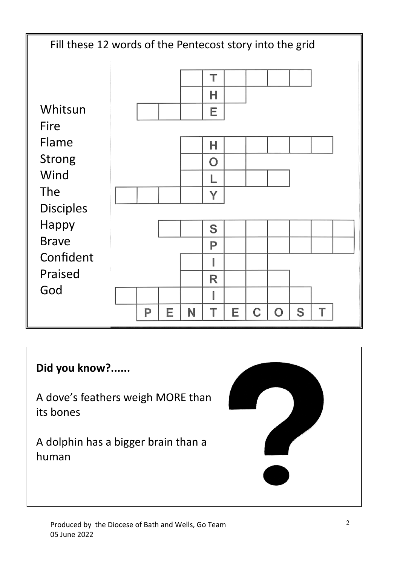

## **Did you know?......**

A dove's feathers weigh MORE than its bones

A dolphin has a bigger brain than a human

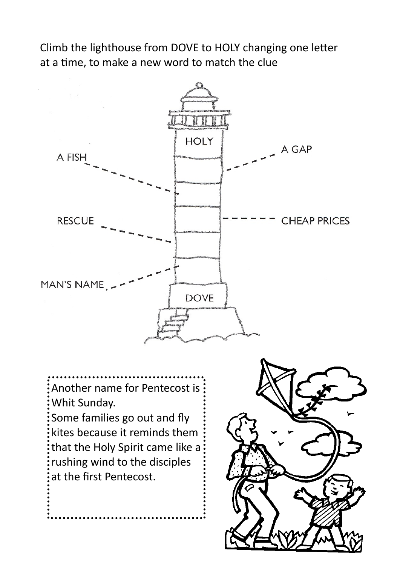Climb the lighthouse from DOVE to HOLY changing one letter at a time, to make a new word to match the clue



Another name for Pentecost is Whit Sunday.

Some families go out and fly kites because it reminds them that the Holy Spirit came like a rushing wind to the disciples at the first Pentecost.